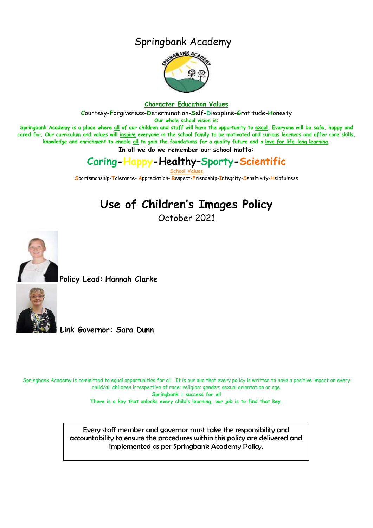## Springbank Academy



#### **Character Education Values**

**C**ourtesy-**F**orgiveness-**D**etermination-**S**elf-**D**iscipline-**G**ratitude-**H**onesty

**Our whole school vision is:**

**Springbank Academy is a place where all of our children and staff will have the opportunity to excel. Everyone will be safe, happy and cared for. Our curriculum and values will inspire everyone in the school family to be motivated and curious learners and offer core skills, knowledge and enrichment to enable all to gain the foundations for a quality future and a love for life-long learning.**

**In all we do we remember our school motto:**

## **Caring-Happy-Healthy–Sporty-Scientific**

**School Values**

**S**portsmanship-**T**olerance- **A**ppreciation- **R**espect-**F**riendship-**I**ntegrity-**S**ensitivity-**H**elpfulness

# **Use of Children's Images Policy**

October 2021



**Policy Lead: Hannah Clarke**



**Link Governor: Sara Dunn**

Springbank Academy is committed to equal opportunities for all. It is our aim that every policy is written to have a positive impact on every child/all children irrespective of race; religion; gender; sexual orientation or age.

**Springbank = success for all**

**There is a key that unlocks every child's learning, our job is to find that key.**

Every staff member and governor must take the responsibility and accountability to ensure the procedures within this policy are delivered and implemented as per Springbank Academy Policy.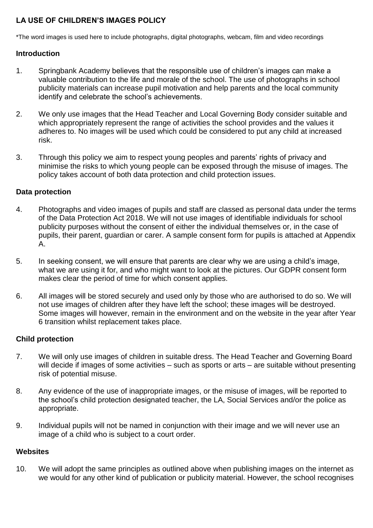## **LA USE OF CHILDREN'S IMAGES POLICY**

\*The word images is used here to include photographs, digital photographs, webcam, film and video recordings

### **Introduction**

- 1. Springbank Academy believes that the responsible use of children's images can make a valuable contribution to the life and morale of the school. The use of photographs in school publicity materials can increase pupil motivation and help parents and the local community identify and celebrate the school's achievements.
- 2. We only use images that the Head Teacher and Local Governing Body consider suitable and which appropriately represent the range of activities the school provides and the values it adheres to. No images will be used which could be considered to put any child at increased risk.
- 3. Through this policy we aim to respect young peoples and parents' rights of privacy and minimise the risks to which young people can be exposed through the misuse of images. The policy takes account of both data protection and child protection issues.

### **Data protection**

- 4. Photographs and video images of pupils and staff are classed as personal data under the terms of the Data Protection Act 2018. We will not use images of identifiable individuals for school publicity purposes without the consent of either the individual themselves or, in the case of pupils, their parent, guardian or carer. A sample consent form for pupils is attached at Appendix A.
- 5. In seeking consent, we will ensure that parents are clear why we are using a child's image, what we are using it for, and who might want to look at the pictures. Our GDPR consent form makes clear the period of time for which consent applies.
- 6. All images will be stored securely and used only by those who are authorised to do so. We will not use images of children after they have left the school; these images will be destroyed. Some images will however, remain in the environment and on the website in the year after Year 6 transition whilst replacement takes place.

## **Child protection**

- 7. We will only use images of children in suitable dress. The Head Teacher and Governing Board will decide if images of some activities – such as sports or arts – are suitable without presenting risk of potential misuse.
- 8. Any evidence of the use of inappropriate images, or the misuse of images, will be reported to the school's child protection designated teacher, the LA, Social Services and/or the police as appropriate.
- 9. Individual pupils will not be named in conjunction with their image and we will never use an image of a child who is subject to a court order.

#### **Websites**

10. We will adopt the same principles as outlined above when publishing images on the internet as we would for any other kind of publication or publicity material. However, the school recognises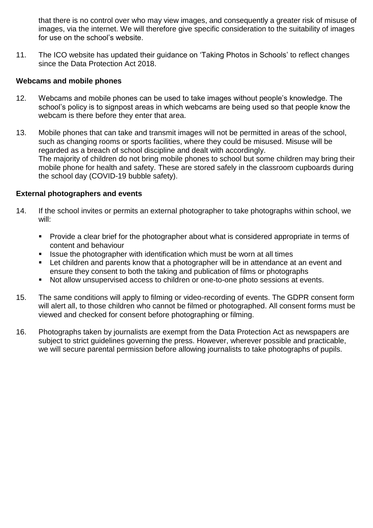that there is no control over who may view images, and consequently a greater risk of misuse of images, via the internet. We will therefore give specific consideration to the suitability of images for use on the school's website.

11. The ICO website has updated their guidance on 'Taking Photos in Schools' to reflect changes since the Data Protection Act 2018.

#### **Webcams and mobile phones**

- 12. Webcams and mobile phones can be used to take images without people's knowledge. The school's policy is to signpost areas in which webcams are being used so that people know the webcam is there before they enter that area.
- 13. Mobile phones that can take and transmit images will not be permitted in areas of the school, such as changing rooms or sports facilities, where they could be misused. Misuse will be regarded as a breach of school discipline and dealt with accordingly. The majority of children do not bring mobile phones to school but some children may bring their mobile phone for health and safety. These are stored safely in the classroom cupboards during the school day (COVID-19 bubble safety).

#### **External photographers and events**

- 14. If the school invites or permits an external photographer to take photographs within school, we will:
	- **Provide a clear brief for the photographer about what is considered appropriate in terms of** content and behaviour
	- Issue the photographer with identification which must be worn at all times
	- Let children and parents know that a photographer will be in attendance at an event and ensure they consent to both the taking and publication of films or photographs
	- Not allow unsupervised access to children or one-to-one photo sessions at events.
- 15. The same conditions will apply to filming or video-recording of events. The GDPR consent form will alert all, to those children who cannot be filmed or photographed. All consent forms must be viewed and checked for consent before photographing or filming.
- 16. Photographs taken by journalists are exempt from the Data Protection Act as newspapers are subject to strict guidelines governing the press. However, wherever possible and practicable, we will secure parental permission before allowing journalists to take photographs of pupils.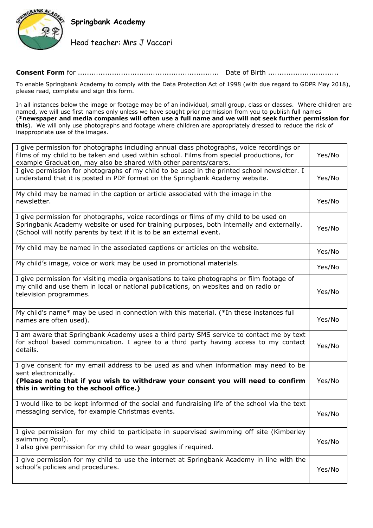

**Springbank Academy**

Head teacher: Mrs J Vaccari

#### **Consent Form** for .............................................................. Date of Birth ...............................

To enable Springbank Academy to comply with the Data Protection Act of 1998 (with due regard to GDPR May 2018), please read, complete and sign this form.

In all instances below the image or footage may be of an individual, small group, class or classes. Where children are named, we will use first names only unless we have sought prior permission from you to publish full names (**\*newspaper and media companies will often use a full name and we will not seek further permission for this**). We will only use photographs and footage where children are appropriately dressed to reduce the risk of inappropriate use of the images.

| I give permission for photographs including annual class photographs, voice recordings or<br>films of my child to be taken and used within school. Films from special productions, for<br>example Graduation, may also be shared with other parents/carers.  | Yes/No |  |  |
|--------------------------------------------------------------------------------------------------------------------------------------------------------------------------------------------------------------------------------------------------------------|--------|--|--|
| I give permission for photographs of my child to be used in the printed school newsletter. I<br>understand that it is posted in PDF format on the Springbank Academy website.                                                                                |        |  |  |
| My child may be named in the caption or article associated with the image in the<br>newsletter.                                                                                                                                                              |        |  |  |
| I give permission for photographs, voice recordings or films of my child to be used on<br>Springbank Academy website or used for training purposes, both internally and externally.<br>(School will notify parents by text if it is to be an external event. | Yes/No |  |  |
| My child may be named in the associated captions or articles on the website.                                                                                                                                                                                 | Yes/No |  |  |
| My child's image, voice or work may be used in promotional materials.                                                                                                                                                                                        | Yes/No |  |  |
| I give permission for visiting media organisations to take photographs or film footage of<br>my child and use them in local or national publications, on websites and on radio or<br>television programmes.                                                  | Yes/No |  |  |
| My child's name* may be used in connection with this material. (*In these instances full<br>names are often used).                                                                                                                                           | Yes/No |  |  |
| I am aware that Springbank Academy uses a third party SMS service to contact me by text<br>for school based communication. I agree to a third party having access to my contact<br>details.                                                                  |        |  |  |
| I give consent for my email address to be used as and when information may need to be<br>sent electronically.<br>(Please note that if you wish to withdraw your consent you will need to confirm<br>this in writing to the school office.)                   |        |  |  |
| I would like to be kept informed of the social and fundraising life of the school via the text<br>messaging service, for example Christmas events.                                                                                                           | Yes/No |  |  |
| I give permission for my child to participate in supervised swimming off site (Kimberley<br>swimming Pool).<br>I also give permission for my child to wear goggles if required.                                                                              | Yes/No |  |  |
| I give permission for my child to use the internet at Springbank Academy in line with the<br>school's policies and procedures.                                                                                                                               | Yes/No |  |  |